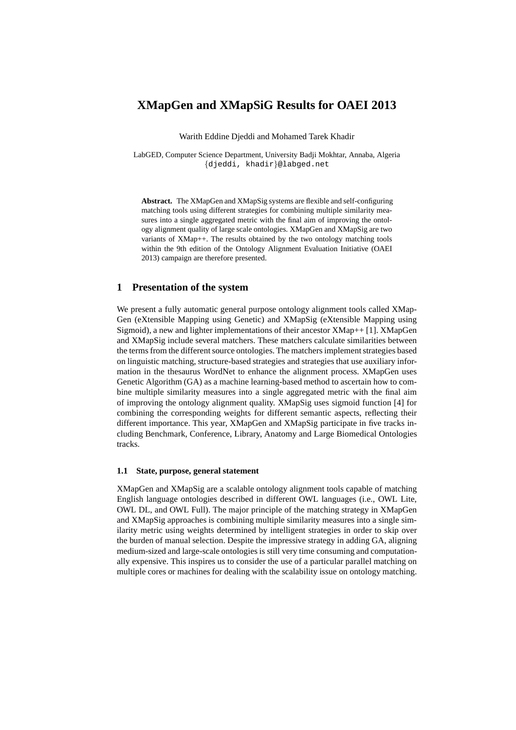# **XMapGen and XMapSiG Results for OAEI 2013**

Warith Eddine Djeddi and Mohamed Tarek Khadir

LabGED, Computer Science Department, University Badji Mokhtar, Annaba, Algeria {djeddi, khadir}@labged.net

**Abstract.** The XMapGen and XMapSig systems are flexible and self-configuring matching tools using different strategies for combining multiple similarity measures into a single aggregated metric with the final aim of improving the ontology alignment quality of large scale ontologies. XMapGen and XMapSig are two variants of XMap++. The results obtained by the two ontology matching tools within the 9th edition of the Ontology Alignment Evaluation Initiative (OAEI 2013) campaign are therefore presented.

# **1 Presentation of the system**

We present a fully automatic general purpose ontology alignment tools called XMap-Gen (eXtensible Mapping using Genetic) and XMapSig (eXtensible Mapping using Sigmoid), a new and lighter implementations of their ancestor XMap++ [1]. XMapGen and XMapSig include several matchers. These matchers calculate similarities between the terms from the different source ontologies. The matchers implement strategies based on linguistic matching, structure-based strategies and strategies that use auxiliary information in the thesaurus WordNet to enhance the alignment process. XMapGen uses Genetic Algorithm (GA) as a machine learning-based method to ascertain how to combine multiple similarity measures into a single aggregated metric with the final aim of improving the ontology alignment quality. XMapSig uses sigmoid function [4] for combining the corresponding weights for different semantic aspects, reflecting their different importance. This year, XMapGen and XMapSig participate in five tracks including Benchmark, Conference, Library, Anatomy and Large Biomedical Ontologies tracks.

# **1.1 State, purpose, general statement**

XMapGen and XMapSig are a scalable ontology alignment tools capable of matching English language ontologies described in different OWL languages (i.e., OWL Lite, OWL DL, and OWL Full). The major principle of the matching strategy in XMapGen and XMapSig approaches is combining multiple similarity measures into a single similarity metric using weights determined by intelligent strategies in order to skip over the burden of manual selection. Despite the impressive strategy in adding GA, aligning medium-sized and large-scale ontologies is still very time consuming and computationally expensive. This inspires us to consider the use of a particular parallel matching on multiple cores or machines for dealing with the scalability issue on ontology matching.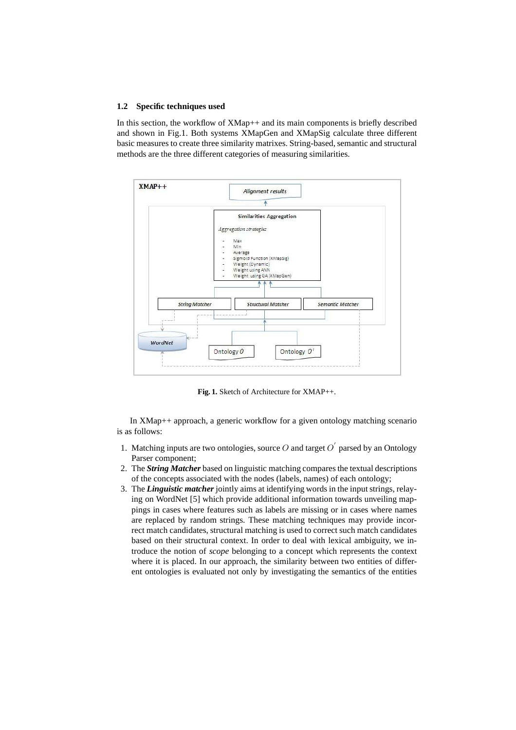### **1.2 Specific techniques used**

In this section, the workflow of XMap++ and its main components is briefly described and shown in Fig.1. Both systems XMapGen and XMapSig calculate three different basic measures to create three similarity matrixes. String-based, semantic and structural methods are the three different categories of measuring similarities.



**Fig. 1.** Sketch of Architecture for XMAP++.

In XMap++ approach, a generic workflow for a given ontology matching scenario is as follows:

- 1. Matching inputs are two ontologies, source O and target  $O'$  parsed by an Ontology Parser component;
- 2. The *String Matcher* based on linguistic matching compares the textual descriptions of the concepts associated with the nodes (labels, names) of each ontology;
- 3. The *Linguistic matcher* jointly aims at identifying words in the input strings, relaying on WordNet [5] which provide additional information towards unveiling mappings in cases where features such as labels are missing or in cases where names are replaced by random strings. These matching techniques may provide incorrect match candidates, structural matching is used to correct such match candidates based on their structural context. In order to deal with lexical ambiguity, we introduce the notion of *scope* belonging to a concept which represents the context where it is placed. In our approach, the similarity between two entities of different ontologies is evaluated not only by investigating the semantics of the entities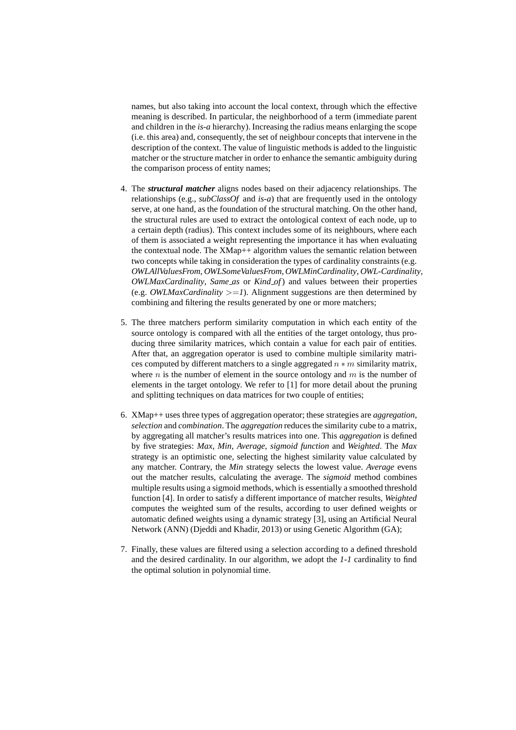names, but also taking into account the local context, through which the effective meaning is described. In particular, the neighborhood of a term (immediate parent and children in the *is-a* hierarchy). Increasing the radius means enlarging the scope (i.e. this area) and, consequently, the set of neighbour concepts that intervene in the description of the context. The value of linguistic methods is added to the linguistic matcher or the structure matcher in order to enhance the semantic ambiguity during the comparison process of entity names;

- 4. The *structural matcher* aligns nodes based on their adjacency relationships. The relationships (e.g., *subClassOf* and *is-a*) that are frequently used in the ontology serve, at one hand, as the foundation of the structural matching. On the other hand, the structural rules are used to extract the ontological context of each node, up to a certain depth (radius). This context includes some of its neighbours, where each of them is associated a weight representing the importance it has when evaluating the contextual node. The XMap++ algorithm values the semantic relation between two concepts while taking in consideration the types of cardinality constraints (e.g. *OWLAllValuesFrom*, *OWLSomeValuesFrom*, *OWLMinCardinality*, *OWL-Cardinality*, *OWLMaxCardinality*, *Same as* or *Kind of*) and values between their properties (e.g. *OWLMaxCardinality*  $>=1$ ). Alignment suggestions are then determined by combining and filtering the results generated by one or more matchers;
- 5. The three matchers perform similarity computation in which each entity of the source ontology is compared with all the entities of the target ontology, thus producing three similarity matrices, which contain a value for each pair of entities. After that, an aggregation operator is used to combine multiple similarity matrices computed by different matchers to a single aggregated  $n * m$  similarity matrix, where  $n$  is the number of element in the source ontology and  $m$  is the number of elements in the target ontology. We refer to [1] for more detail about the pruning and splitting techniques on data matrices for two couple of entities;
- 6. XMap++ uses three types of aggregation operator; these strategies are *aggregation*, *selection* and *combination*. The *aggregation* reduces the similarity cube to a matrix, by aggregating all matcher's results matrices into one. This *aggregation* is defined by five strategies: *Max*, *Min*, *Average*, *sigmoid function* and *Weighted*. The *Max* strategy is an optimistic one, selecting the highest similarity value calculated by any matcher. Contrary, the *Min* strategy selects the lowest value. *Average* evens out the matcher results, calculating the average. The *sigmoid* method combines multiple results using a sigmoid methods, which is essentially a smoothed threshold function [4]. In order to satisfy a different importance of matcher results, *Weighted* computes the weighted sum of the results, according to user defined weights or automatic defined weights using a dynamic strategy [3], using an Artificial Neural Network (ANN) (Djeddi and Khadir, 2013) or using Genetic Algorithm (GA);
- 7. Finally, these values are filtered using a selection according to a defined threshold and the desired cardinality. In our algorithm, we adopt the *1-1* cardinality to find the optimal solution in polynomial time.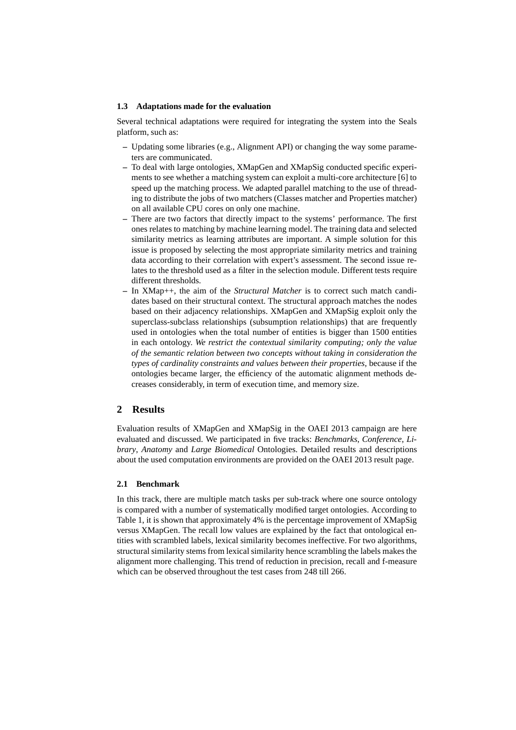### **1.3 Adaptations made for the evaluation**

Several technical adaptations were required for integrating the system into the Seals platform, such as:

- **–** Updating some libraries (e.g., Alignment API) or changing the way some parameters are communicated.
- **–** To deal with large ontologies, XMapGen and XMapSig conducted specific experiments to see whether a matching system can exploit a multi-core architecture [6] to speed up the matching process. We adapted parallel matching to the use of threading to distribute the jobs of two matchers (Classes matcher and Properties matcher) on all available CPU cores on only one machine.
- **–** There are two factors that directly impact to the systems' performance. The first ones relates to matching by machine learning model. The training data and selected similarity metrics as learning attributes are important. A simple solution for this issue is proposed by selecting the most appropriate similarity metrics and training data according to their correlation with expert's assessment. The second issue relates to the threshold used as a filter in the selection module. Different tests require different thresholds.
- **–** In XMap++, the aim of the *Structural Matcher* is to correct such match candidates based on their structural context. The structural approach matches the nodes based on their adjacency relationships. XMapGen and XMapSig exploit only the superclass-subclass relationships (subsumption relationships) that are frequently used in ontologies when the total number of entities is bigger than 1500 entities in each ontology. *We restrict the contextual similarity computing; only the value of the semantic relation between two concepts without taking in consideration the types of cardinality constraints and values between their properties*, because if the ontologies became larger, the efficiency of the automatic alignment methods decreases considerably, in term of execution time, and memory size.

# **2 Results**

Evaluation results of XMapGen and XMapSig in the OAEI 2013 campaign are here evaluated and discussed. We participated in five tracks: *Benchmarks*, *Conference*, *Library*, *Anatomy* and *Large Biomedical* Ontologies. Detailed results and descriptions about the used computation environments are provided on the OAEI 2013 result page.

### **2.1 Benchmark**

In this track, there are multiple match tasks per sub-track where one source ontology is compared with a number of systematically modified target ontologies. According to Table 1, it is shown that approximately 4% is the percentage improvement of XMapSig versus XMapGen. The recall low values are explained by the fact that ontological entities with scrambled labels, lexical similarity becomes ineffective. For two algorithms, structural similarity stems from lexical similarity hence scrambling the labels makes the alignment more challenging. This trend of reduction in precision, recall and f-measure which can be observed throughout the test cases from 248 till 266.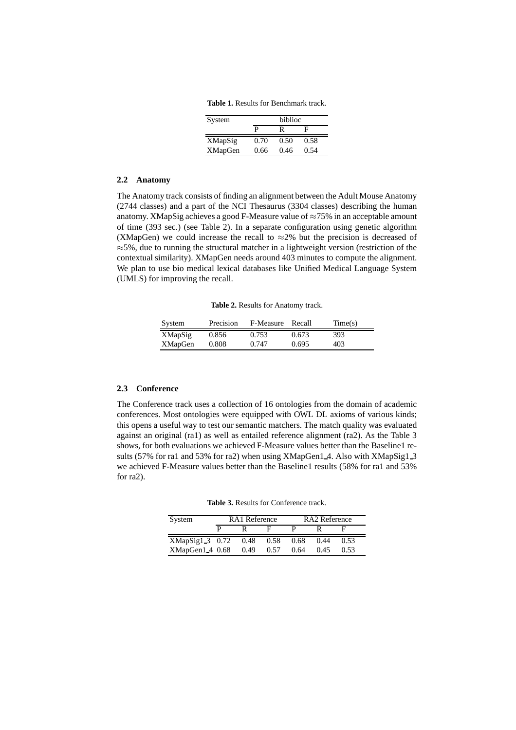**Table 1.** Results for Benchmark track.

| System         | biblioc |      |      |
|----------------|---------|------|------|
|                | P       | R    | F    |
| XMapSig        | 0.70    | 0.50 | 0.58 |
| <b>XMapGen</b> | 0.66    | 0.46 | 0.54 |

#### **2.2 Anatomy**

The Anatomy track consists of finding an alignment between the Adult Mouse Anatomy (2744 classes) and a part of the NCI Thesaurus (3304 classes) describing the human anatomy. XMapSig achieves a good F-Measure value of  $\approx 75\%$  in an acceptable amount of time (393 sec.) (see Table 2). In a separate configuration using genetic algorithm (XMapGen) we could increase the recall to  $\approx$ 2% but the precision is decreased of  $\approx$ 5%, due to running the structural matcher in a lightweight version (restriction of the contextual similarity). XMapGen needs around 403 minutes to compute the alignment. We plan to use bio medical lexical databases like Unified Medical Language System (UMLS) for improving the recall.

**Table 2.** Results for Anatomy track.

| System         | Precision | F-Measure | Recall | Time(s) |
|----------------|-----------|-----------|--------|---------|
| XMapSig        | 0.856     | 0.753     | 0.673  | 393     |
| <b>XMapGen</b> | 0.808     | 0.747     | 0.695  | 403     |

### **2.3 Conference**

The Conference track uses a collection of 16 ontologies from the domain of academic conferences. Most ontologies were equipped with OWL DL axioms of various kinds; this opens a useful way to test our semantic matchers. The match quality was evaluated against an original (ra1) as well as entailed reference alignment (ra2). As the Table 3 shows, for both evaluations we achieved F-Measure values better than the Baseline1 results (57% for ra1 and 53% for ra2) when using XMapGen1 4. Also with XMapSig1 3 we achieved F-Measure values better than the Baseline1 results (58% for ra1 and 53% for ra2).

**Table 3.** Results for Conference track.

| System          | RA1 Reference |      |      |      | <b>RA2</b> Reference |      |
|-----------------|---------------|------|------|------|----------------------|------|
|                 |               |      |      |      |                      |      |
| XMapSig1 3 0.72 |               | 0.48 | 0.58 | 0.68 | 0.44                 | 0.53 |
| XMapGen1_4 0.68 |               | 0.49 | 0.57 | 0.64 | 0.45                 | 0.53 |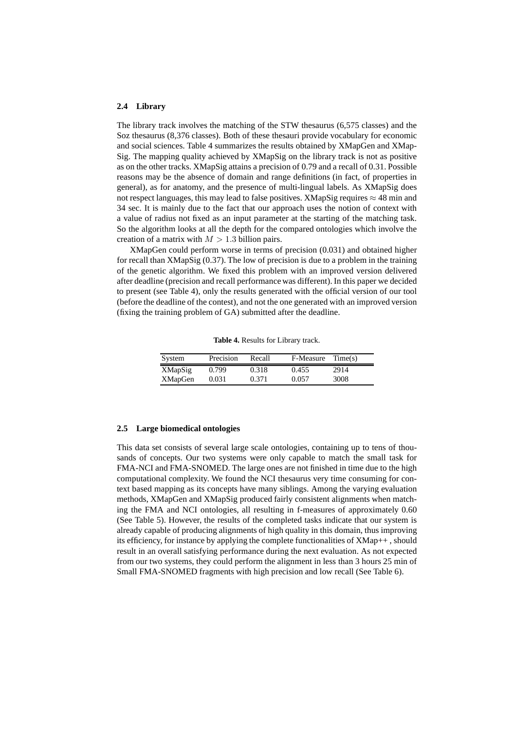#### **2.4 Library**

The library track involves the matching of the STW thesaurus (6,575 classes) and the Soz thesaurus (8,376 classes). Both of these thesauri provide vocabulary for economic and social sciences. Table 4 summarizes the results obtained by XMapGen and XMap-Sig. The mapping quality achieved by XMapSig on the library track is not as positive as on the other tracks. XMapSig attains a precision of 0.79 and a recall of 0.31. Possible reasons may be the absence of domain and range definitions (in fact, of properties in general), as for anatomy, and the presence of multi-lingual labels. As XMapSig does not respect languages, this may lead to false positives. XMapSig requires  $\approx$  48 min and 34 sec. It is mainly due to the fact that our approach uses the notion of context with a value of radius not fixed as an input parameter at the starting of the matching task. So the algorithm looks at all the depth for the compared ontologies which involve the creation of a matrix with  $M > 1.3$  billion pairs.

XMapGen could perform worse in terms of precision (0.031) and obtained higher for recall than XMapSig (0.37). The low of precision is due to a problem in the training of the genetic algorithm. We fixed this problem with an improved version delivered after deadline (precision and recall performance was different). In this paper we decided to present (see Table 4), only the results generated with the official version of our tool (before the deadline of the contest), and not the one generated with an improved version (fixing the training problem of GA) submitted after the deadline.

| <b>Table 4.</b> Results for Library track. |  |  |  |
|--------------------------------------------|--|--|--|
|--------------------------------------------|--|--|--|

| System         | Precision | Recall | F-Measure | Time(s) |
|----------------|-----------|--------|-----------|---------|
| <b>XMapSig</b> | 0.799     | 0.318  | 0.455     | 2914    |
| <b>XMapGen</b> | 0.031     | 0.371  | 0.057     | 3008    |

#### **2.5 Large biomedical ontologies**

This data set consists of several large scale ontologies, containing up to tens of thousands of concepts. Our two systems were only capable to match the small task for FMA-NCI and FMA-SNOMED. The large ones are not finished in time due to the high computational complexity. We found the NCI thesaurus very time consuming for context based mapping as its concepts have many siblings. Among the varying evaluation methods, XMapGen and XMapSig produced fairly consistent alignments when matching the FMA and NCI ontologies, all resulting in f-measures of approximately 0.60 (See Table 5). However, the results of the completed tasks indicate that our system is already capable of producing alignments of high quality in this domain, thus improving its efficiency, for instance by applying the complete functionalities of XMap++ , should result in an overall satisfying performance during the next evaluation. As not expected from our two systems, they could perform the alignment in less than 3 hours 25 min of Small FMA-SNOMED fragments with high precision and low recall (See Table 6).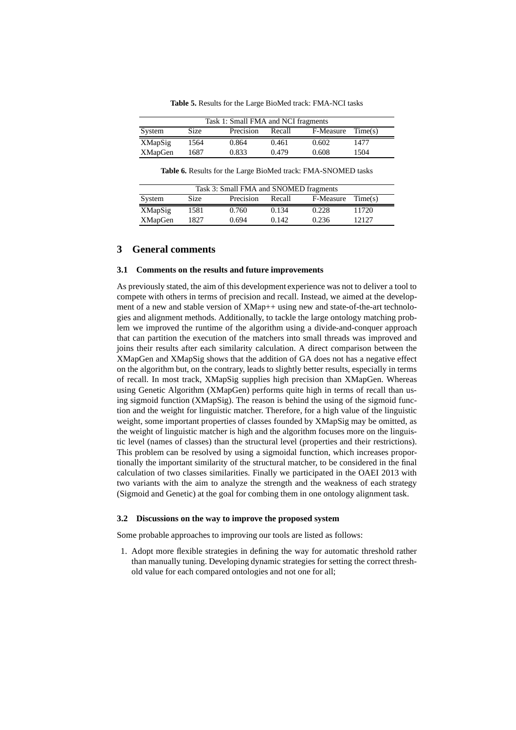**Table 5.** Results for the Large BioMed track: FMA-NCI tasks

| Task 1: Small FMA and NCI fragments |      |           |        |           |         |  |
|-------------------------------------|------|-----------|--------|-----------|---------|--|
| System                              | Size | Precision | Recall | F-Measure | Time(s) |  |
| XMapSig                             | 1564 | 0.864     | 0.461  | 0.602     | 1477    |  |
| <b>XMapGen</b>                      | 1687 | 0.833     | 0.479  | 0.608     | 1504    |  |

**Table 6.** Results for the Large BioMed track: FMA-SNOMED tasks

| Task 3: Small FMA and SNOMED fragments |             |           |        |           |         |  |
|----------------------------------------|-------------|-----------|--------|-----------|---------|--|
| System                                 | <b>Size</b> | Precision | Recall | F-Measure | Time(s) |  |
| XMapSig                                | 1581        | 0.760     | 0.134  | 0.228     | 11720   |  |
| <b>XMapGen</b>                         | 1827        | 0.694     | 0.142  | 0.236     | 12127   |  |

# **3 General comments**

## **3.1 Comments on the results and future improvements**

As previously stated, the aim of this development experience was not to deliver a tool to compete with others in terms of precision and recall. Instead, we aimed at the development of a new and stable version of XMap++ using new and state-of-the-art technologies and alignment methods. Additionally, to tackle the large ontology matching problem we improved the runtime of the algorithm using a divide-and-conquer approach that can partition the execution of the matchers into small threads was improved and joins their results after each similarity calculation. A direct comparison between the XMapGen and XMapSig shows that the addition of GA does not has a negative effect on the algorithm but, on the contrary, leads to slightly better results, especially in terms of recall. In most track, XMapSig supplies high precision than XMapGen. Whereas using Genetic Algorithm (XMapGen) performs quite high in terms of recall than using sigmoid function (XMapSig). The reason is behind the using of the sigmoid function and the weight for linguistic matcher. Therefore, for a high value of the linguistic weight, some important properties of classes founded by XMapSig may be omitted, as the weight of linguistic matcher is high and the algorithm focuses more on the linguistic level (names of classes) than the structural level (properties and their restrictions). This problem can be resolved by using a sigmoidal function, which increases proportionally the important similarity of the structural matcher, to be considered in the final calculation of two classes similarities. Finally we participated in the OAEI 2013 with two variants with the aim to analyze the strength and the weakness of each strategy (Sigmoid and Genetic) at the goal for combing them in one ontology alignment task.

# **3.2 Discussions on the way to improve the proposed system**

Some probable approaches to improving our tools are listed as follows:

1. Adopt more flexible strategies in defining the way for automatic threshold rather than manually tuning. Developing dynamic strategies for setting the correct threshold value for each compared ontologies and not one for all;